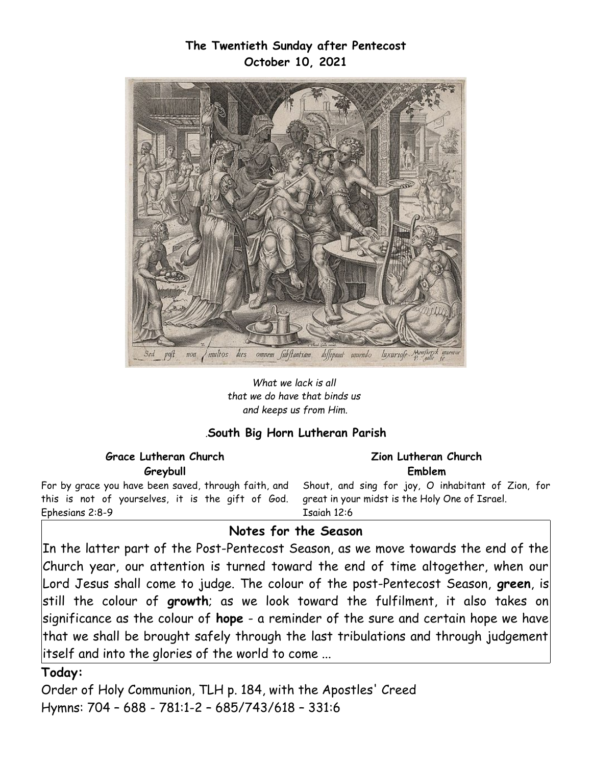## **The Twentieth Sunday after Pentecost October 10, 2021**



*What we lack is all that we do have that binds us and keeps us from Him.*

#### *.***South Big Horn Lutheran Parish**

| <b>Grace Lutheran Church</b>                                                                                                                                                                                                   | Zion Lutheran Church |
|--------------------------------------------------------------------------------------------------------------------------------------------------------------------------------------------------------------------------------|----------------------|
| Greybull                                                                                                                                                                                                                       | Emblem               |
| For by grace you have been saved, through faith, and Shout, and sing for joy, O inhabitant of Zion, for<br>this is not of yourselves, it is the gift of God. great in your midst is the Holy One of Israel.<br>Ephesians 2:8-9 | Esaigh 12:6          |

## **Notes for the Season**

In the latter part of the Post-Pentecost Season, as we move towards the end of the Church year, our attention is turned toward the end of time altogether, when our Lord Jesus shall come to judge. The colour of the post-Pentecost Season, **green**, is still the colour of **growth**; as we look toward the fulfilment, it also takes on significance as the colour of **hope** - a reminder of the sure and certain hope we have that we shall be brought safely through the last tribulations and through judgement itself and into the glories of the world to come ...

#### **Today:**

Order of Holy Communion, TLH p. 184, with the Apostles' Creed Hymns: 704 – 688 - 781:1-2 – 685/743/618 – 331:6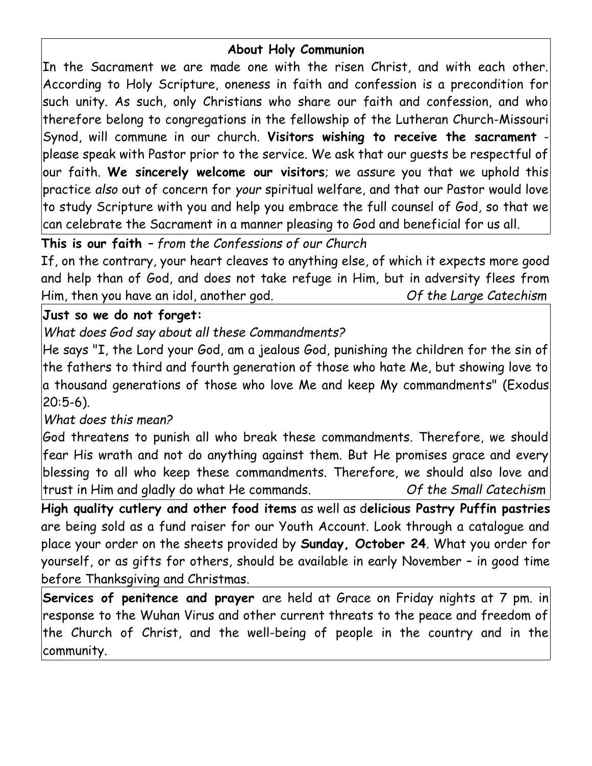# **About Holy Communion**

In the Sacrament we are made one with the risen Christ, and with each other. According to Holy Scripture, oneness in faith and confession is a precondition for such unity. As such, only Christians who share our faith and confession, and who therefore belong to congregations in the fellowship of the Lutheran Church-Missouri Synod, will commune in our church. **Visitors wishing to receive the sacrament** please speak with Pastor prior to the service. We ask that our guests be respectful of our faith. **We sincerely welcome our visitors**; we assure you that we uphold this practice *also* out of concern for *your* spiritual welfare, and that our Pastor would love to study Scripture with you and help you embrace the full counsel of God, so that we can celebrate the Sacrament in a manner pleasing to God and beneficial for us all.

**This is our faith** *– from the Confessions of our Church*

If, on the contrary, your heart cleaves to anything else, of which it expects more good and help than of God, and does not take refuge in Him, but in adversity flees from Him, then you have an idol, another god. *Of the Large Catechism*

## **Just so we do not forget:**

*What does God say about all these Commandments?*

He says "I, the Lord your God, am a jealous God, punishing the children for the sin of the fathers to third and fourth generation of those who hate Me, but showing love to a thousand generations of those who love Me and keep My commandments" (Exodus 20:5-6).

# *What does this mean?*

God threatens to punish all who break these commandments. Therefore, we should fear His wrath and not do anything against them. But He promises grace and every blessing to all who keep these commandments. Therefore, we should also love and trust in Him and gladly do what He commands. *Of the Small Catechism*

**High quality cutlery and other food items** as well as d**elicious Pastry Puffin pastries** are being sold as a fund raiser for our Youth Account. Look through a catalogue and place your order on the sheets provided by **Sunday, October 24**. What you order for yourself, or as gifts for others, should be available in early November – in good time before Thanksgiving and Christmas.

**Services of penitence and prayer** are held at Grace on Friday nights at 7 pm. in response to the Wuhan Virus and other current threats to the peace and freedom of the Church of Christ, and the well-being of people in the country and in the community.